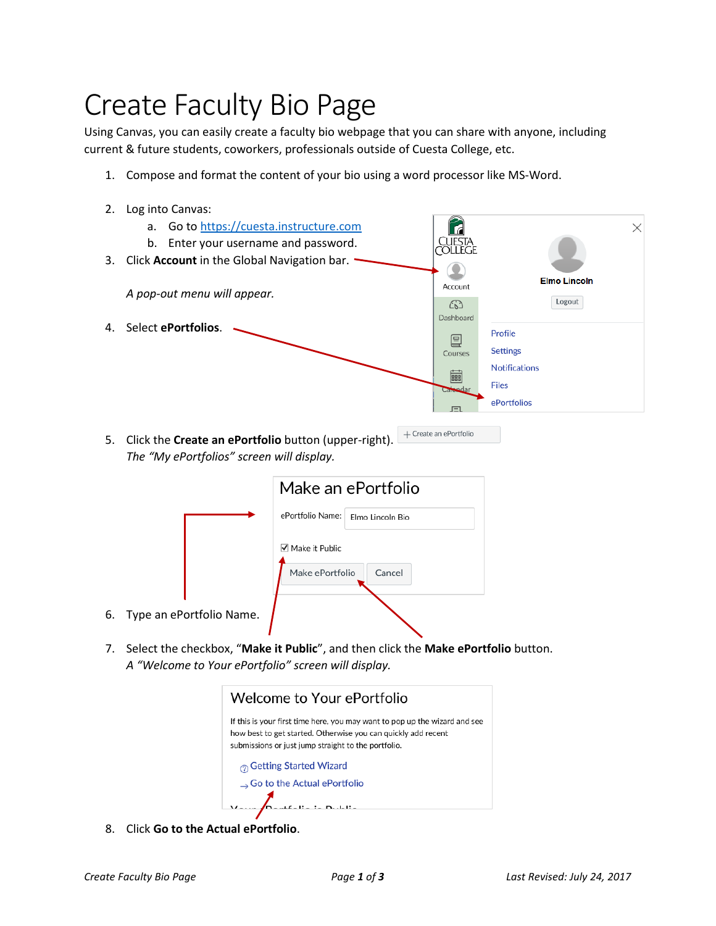## Create Faculty Bio Page

Using Canvas, you can easily create a faculty bio webpage that you can share with anyone, including current & future students, coworkers, professionals outside of Cuesta College, etc.

- 1. Compose and format the content of your bio using a word processor like MS-Word.
- 2. Log into Canvas:



 $+$  Create an ePortfolio

5. Click the **Create an ePortfolio** button (upper-right). *The "My ePortfolios" screen will display.*

|                  | Make an ePortfolio                   |
|------------------|--------------------------------------|
|                  | ePortfolio Name:<br>Elmo Lincoln Bio |
|                  | Make it Public                       |
|                  | Make ePortfolio<br>Cancel            |
| ePortfolio Name. |                                      |

7. Select the checkbox, "**Make it Public**", and then click the **Make ePortfolio** button. *A "Welcome to Your ePortfolio" screen will display.*



8. Click **Go to the Actual ePortfolio**.

6. Type an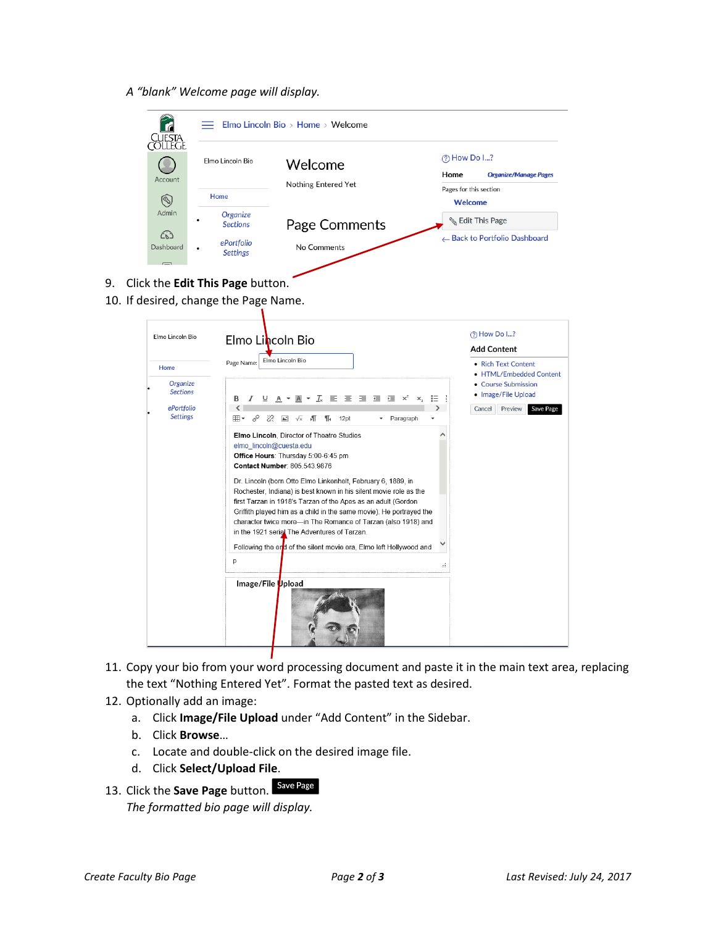*A "blank" Welcome page will display.*

|                  | Elmo Lincoln Bio               | Welcome             |      | (?) How Do I?                                          |
|------------------|--------------------------------|---------------------|------|--------------------------------------------------------|
| Account          |                                | Nothing Entered Yet | Home | <b>Organize/Manage Pages</b><br>Pages for this section |
| $\circledS$      | Home                           |                     |      | Welcome                                                |
| Admin            | Organize<br><b>Sections</b>    | Page Comments       |      | <b>&amp; Edit This Page</b>                            |
| ෬                |                                |                     |      | ← Back to Portfolio Dashboard                          |
| Dashboard        | ePortfolio<br><b>Settings</b>  | No Comments         |      |                                                        |
|                  | Elmo Lincoln Bio<br>Page Name: | Elmo Lincoln Bio    |      | <b>Add Content</b><br>• Rich Text Content              |
| Home<br>Organize |                                |                     |      | • HTML/Embedded Content                                |

- 11. Copy your bio from your word processing document and paste it in the main text area, replacing the text "Nothing Entered Yet". Format the pasted text as desired.
- 12. Optionally add an image:
	- a. Click **Image/File Upload** under "Add Content" in the Sidebar.
	- b. Click **Browse**…
	- c. Locate and double-click on the desired image file.

Τ

- d. Click **Select/Upload File**.
- 13. Click the **Save Page** button. *The formatted bio page will display.*